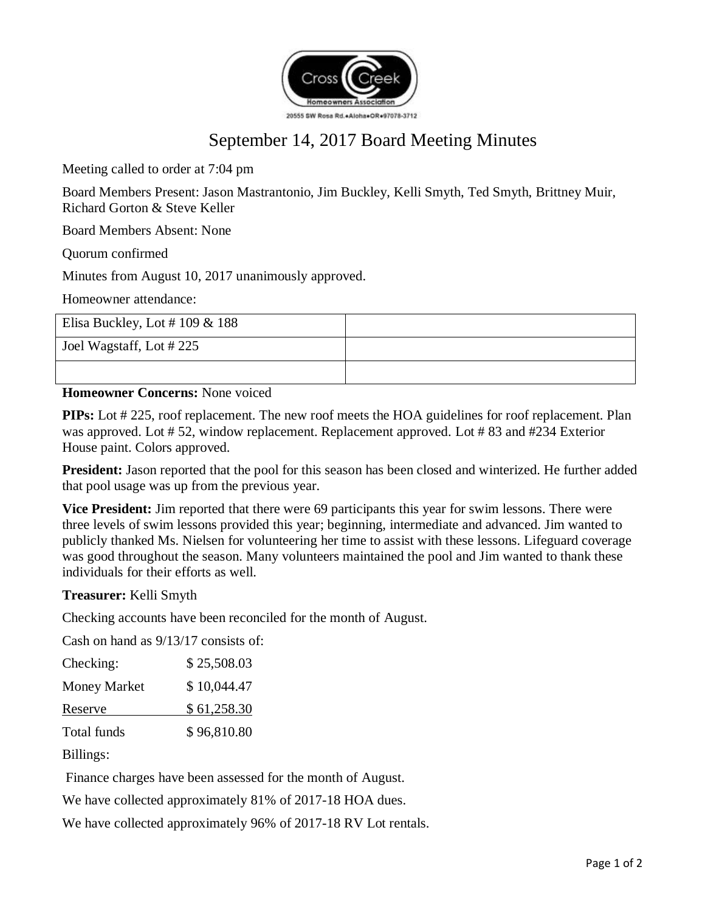

# September 14, 2017 Board Meeting Minutes

Meeting called to order at 7:04 pm

Board Members Present: Jason Mastrantonio, Jim Buckley, Kelli Smyth, Ted Smyth, Brittney Muir, Richard Gorton & Steve Keller

Board Members Absent: None

Quorum confirmed

Minutes from August 10, 2017 unanimously approved.

Homeowner attendance:

| Elisa Buckley, Lot # 109 & 188 |  |
|--------------------------------|--|
| Joel Wagstaff, Lot #225        |  |
|                                |  |

**Homeowner Concerns:** None voiced

**PIPs:** Lot # 225, roof replacement. The new roof meets the HOA guidelines for roof replacement. Plan was approved. Lot # 52, window replacement. Replacement approved. Lot # 83 and #234 Exterior House paint. Colors approved.

**President:** Jason reported that the pool for this season has been closed and winterized. He further added that pool usage was up from the previous year.

**Vice President:** Jim reported that there were 69 participants this year for swim lessons. There were three levels of swim lessons provided this year; beginning, intermediate and advanced. Jim wanted to publicly thanked Ms. Nielsen for volunteering her time to assist with these lessons. Lifeguard coverage was good throughout the season. Many volunteers maintained the pool and Jim wanted to thank these individuals for their efforts as well.

#### **Treasurer:** Kelli Smyth

Checking accounts have been reconciled for the month of August.

Cash on hand as 9/13/17 consists of:

| Checking:           | \$25,508.03 |
|---------------------|-------------|
| <b>Money Market</b> | \$10,044.47 |
| Reserve             | \$61,258.30 |
| Total funds         | \$96,810.80 |

Billings:

Finance charges have been assessed for the month of August.

We have collected approximately 81% of 2017-18 HOA dues.

We have collected approximately 96% of 2017-18 RV Lot rentals.